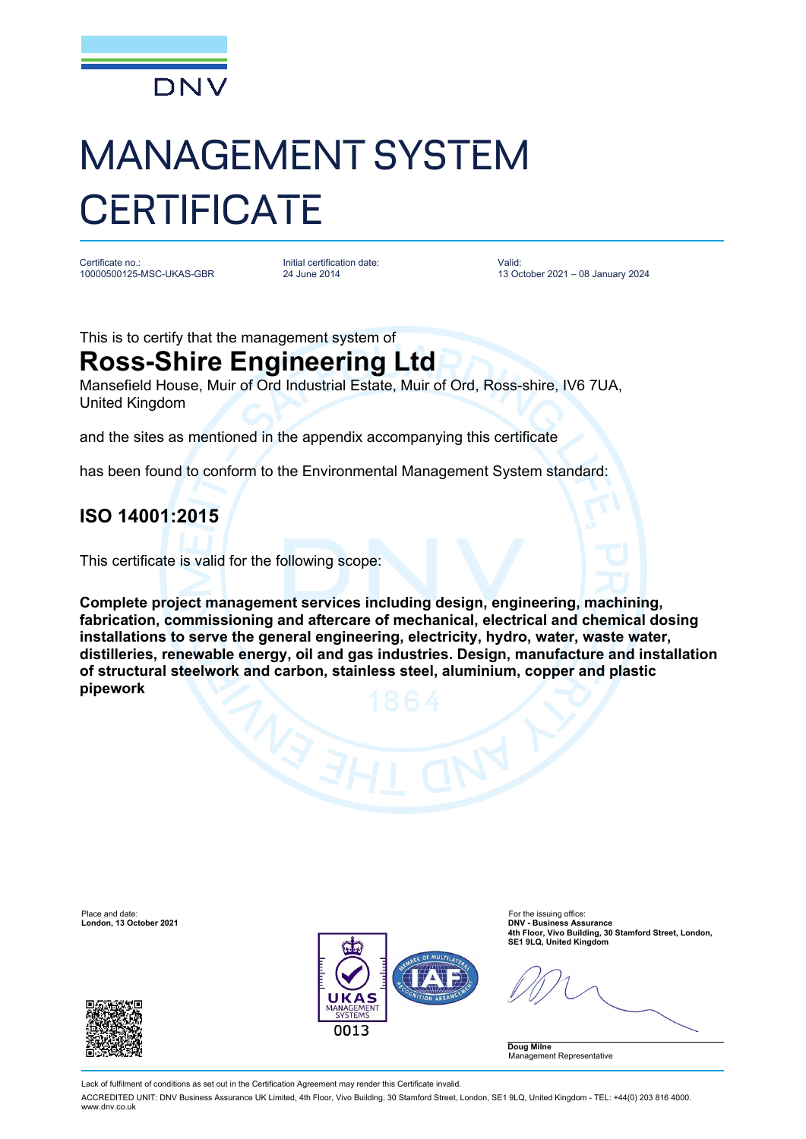

# MANAGEMENT SYSTEM **CERTIFICATE**

Certificate no.: 10000500125-MSC-UKAS-GBR Initial certification date: 24 June 2014

Valid: 13 October 2021 – 08 January 2024

This is to certify that the management system of

## **Ross-Shire Engineering Ltd**

Mansefield House, Muir of Ord Industrial Estate, Muir of Ord, Ross-shire, IV6 7UA, United Kingdom

and the sites as mentioned in the appendix accompanying this certificate

has been found to conform to the Environmental Management System standard:

### **ISO 14001:2015**

This certificate is valid for the following scope:

**Complete project management services including design, engineering, machining, fabrication, commissioning and aftercare of mechanical, electrical and chemical dosing installations to serve the general engineering, electricity, hydro, water, waste water, distilleries, renewable energy, oil and gas industries. Design, manufacture and installation of structural steelwork and carbon, stainless steel, aluminium, copper and plastic pipework**



Lack of fulfilment of conditions as set out in the Certification Agreement may render this Certificate invalid.

ACCREDITED UNIT: DNV Business Assurance UK Limited, 4th Floor, Vivo Building, 30 Stamford Street, London, SE1 9LQ, United Kingdom - TEL: +44(0) 203 816 4000. www.dnv.co.uk